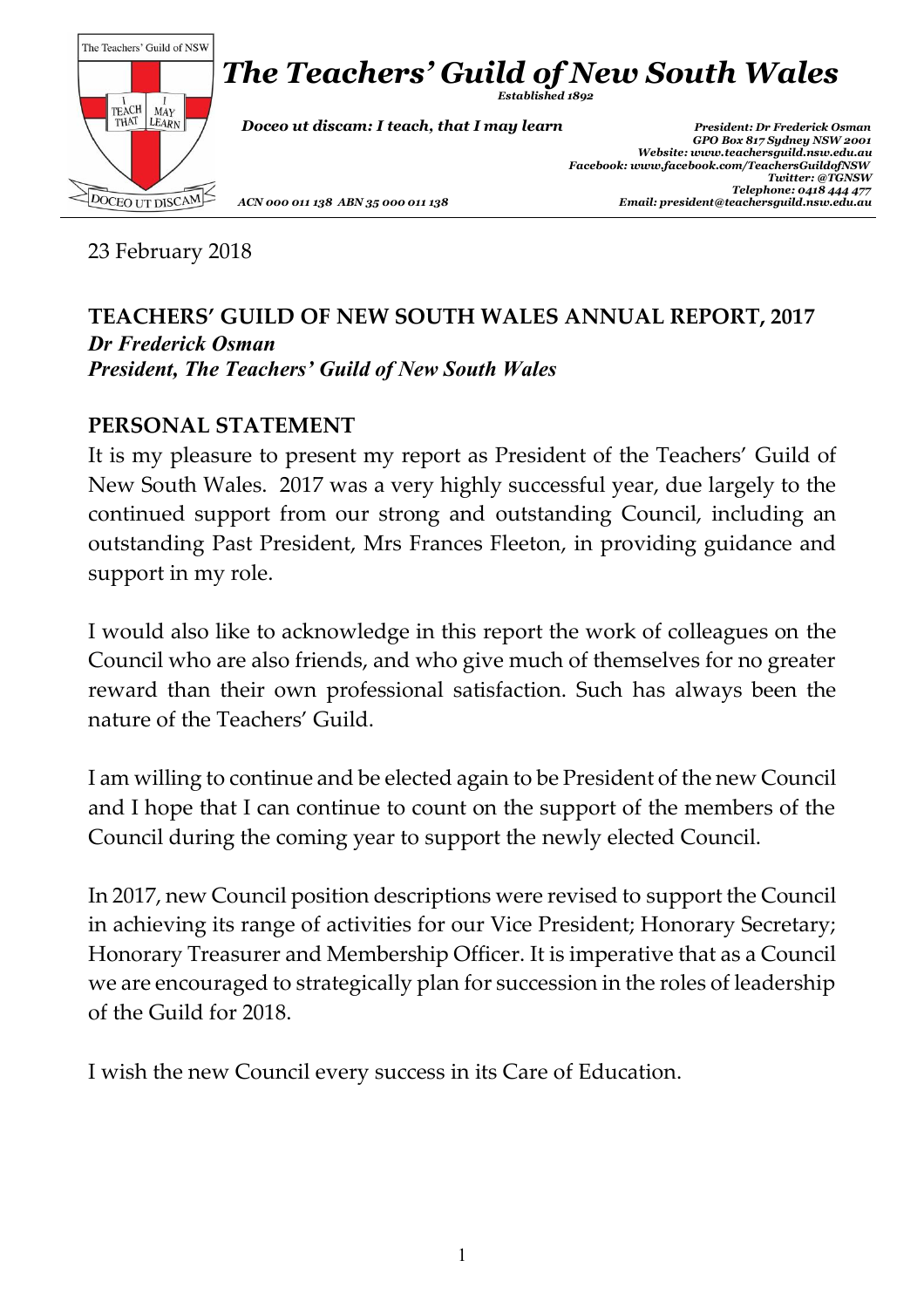

23 February 2018

#### **TEACHERS' GUILD OF NEW SOUTH WALES ANNUAL REPORT, 2017** *Dr Frederick Osman President, The Teachers' Guild of New South Wales*

## **PERSONAL STATEMENT**

It is my pleasure to present my report as President of the Teachers' Guild of New South Wales. 2017 was a very highly successful year, due largely to the continued support from our strong and outstanding Council, including an outstanding Past President, Mrs Frances Fleeton, in providing guidance and support in my role.

I would also like to acknowledge in this report the work of colleagues on the Council who are also friends, and who give much of themselves for no greater reward than their own professional satisfaction. Such has always been the nature of the Teachers' Guild.

I am willing to continue and be elected again to be President of the new Council and I hope that I can continue to count on the support of the members of the Council during the coming year to support the newly elected Council.

In 2017, new Council position descriptions were revised to support the Council in achieving its range of activities for our Vice President; Honorary Secretary; Honorary Treasurer and Membership Officer. It is imperative that as a Council we are encouraged to strategically plan for succession in the roles of leadership of the Guild for 2018.

I wish the new Council every success in its Care of Education.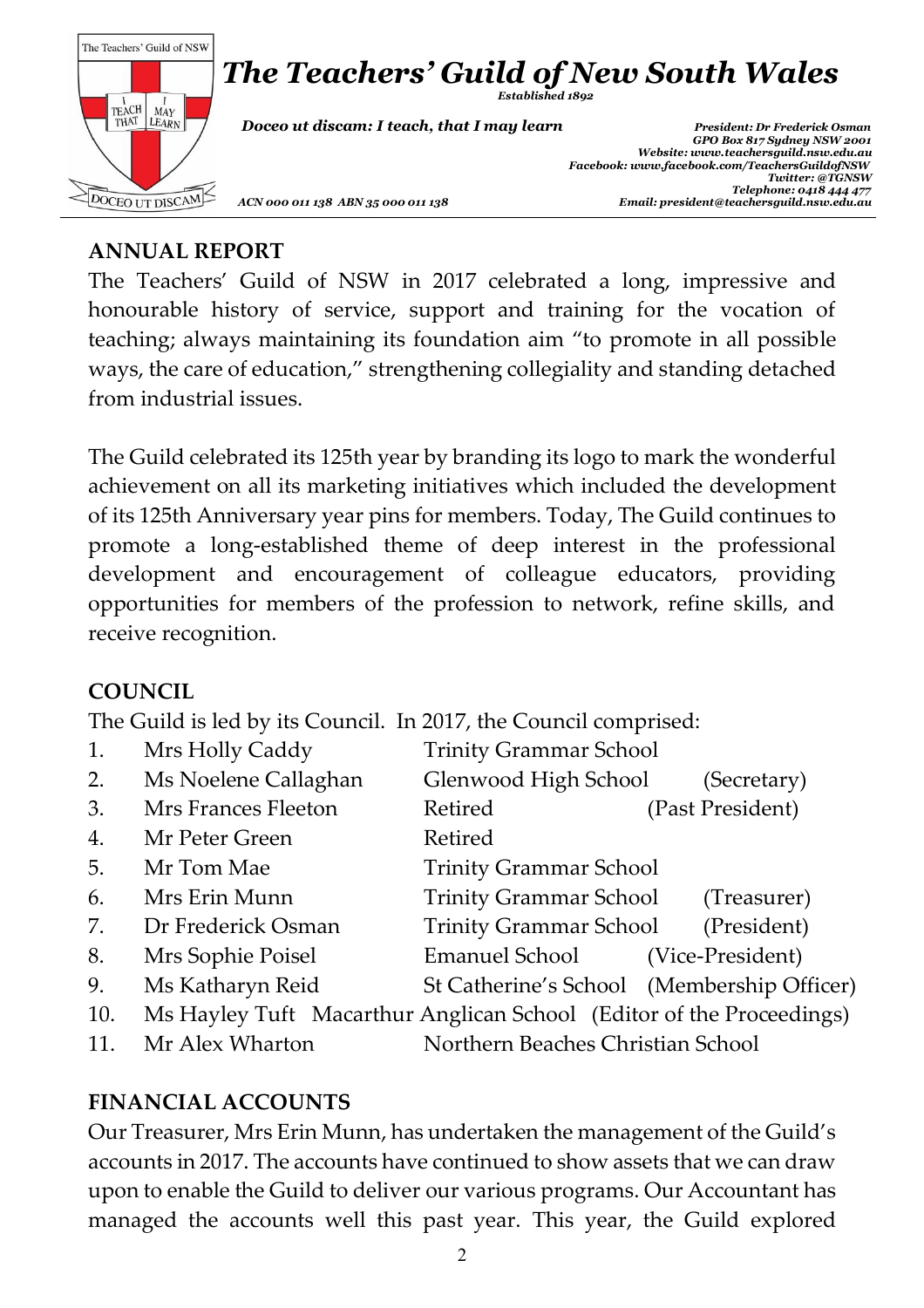

#### **ANNUAL REPORT**

The Teachers' Guild of NSW in 2017 celebrated a long, impressive and honourable history of service, support and training for the vocation of teaching; always maintaining its foundation aim "to promote in all possible ways, the care of education," strengthening collegiality and standing detached from industrial issues.

The Guild celebrated its 125th year by branding its logo to mark the wonderful achievement on all its marketing initiatives which included the development of its 125th Anniversary year pins for members. Today, The Guild continues to promote a long-established theme of deep interest in the professional development and encouragement of colleague educators, providing opportunities for members of the profession to network, refine skills, and receive recognition.

### **COUNCIL**

The Guild is led by its Council. In 2017, the Council comprised:

- 1. Mrs Holly Caddy Trinity Grammar School 2. Ms Noelene Callaghan Glenwood High School (Secretary)
- 3. Mrs Frances Fleeton Retired (Past President)
- 4. Mr Peter Green Retired
- 5. Mr Tom Mae Trinity Grammar School
- 6. Mrs Erin Munn Trinity Grammar School (Treasurer)
- 7. Dr Frederick Osman Trinity Grammar School (President)
- 8. Mrs Sophie Poisel Emanuel School (Vice-President)
- 9. Ms Katharyn Reid St Catherine's School (Membership Officer)
- 10. Ms Hayley Tuft Macarthur Anglican School (Editor of the Proceedings)
- 

11. Mr Alex Wharton Northern Beaches Christian School

# **FINANCIAL ACCOUNTS**

Our Treasurer, Mrs Erin Munn, has undertaken the management of the Guild's accounts in 2017. The accounts have continued to show assets that we can draw upon to enable the Guild to deliver our various programs. Our Accountant has managed the accounts well this past year. This year, the Guild explored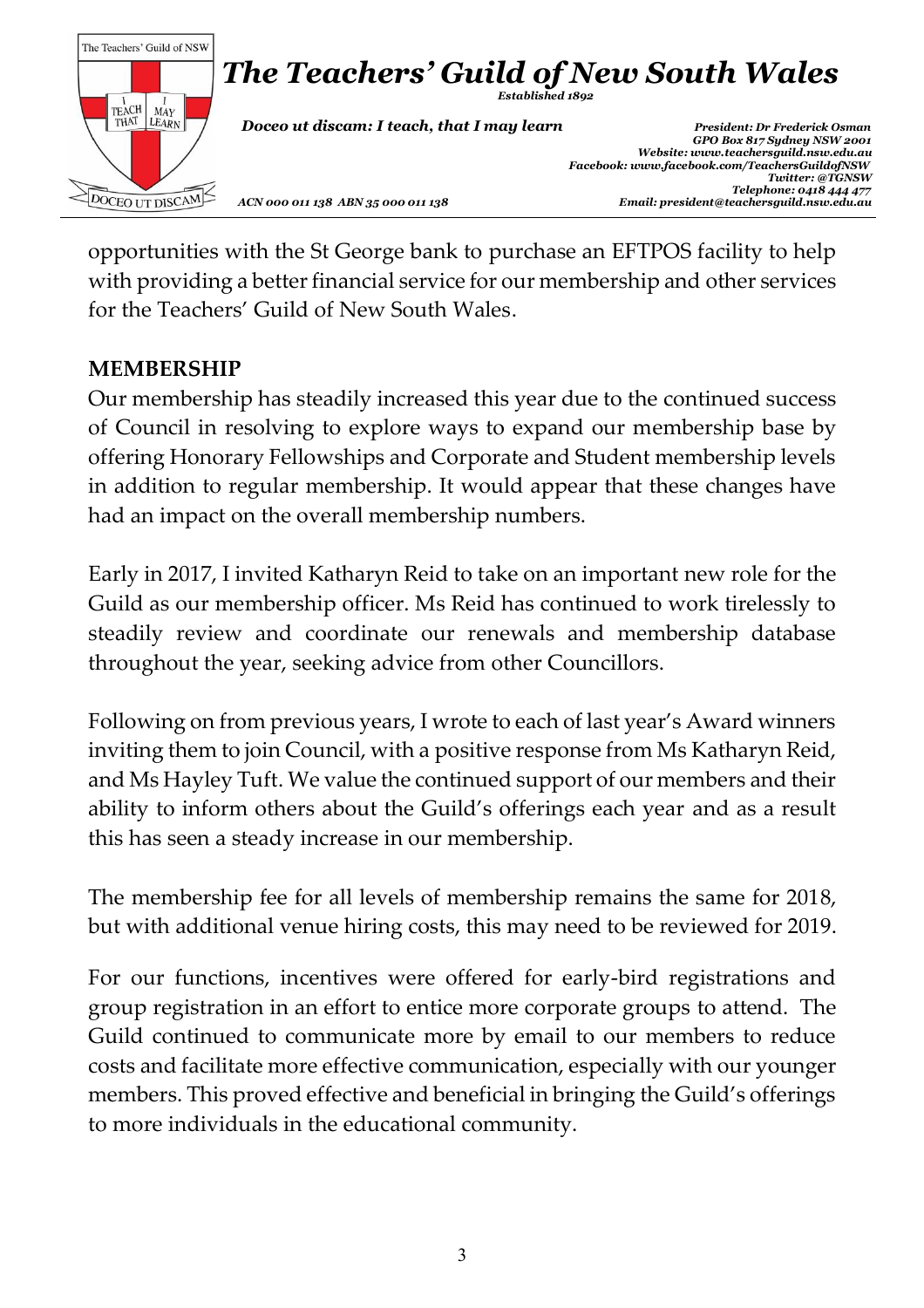

opportunities with the St George bank to purchase an EFTPOS facility to help with providing a better financial service for our membership and other services for the Teachers' Guild of New South Wales.

## **MEMBERSHIP**

Our membership has steadily increased this year due to the continued success of Council in resolving to explore ways to expand our membership base by offering Honorary Fellowships and Corporate and Student membership levels in addition to regular membership. It would appear that these changes have had an impact on the overall membership numbers.

Early in 2017, I invited Katharyn Reid to take on an important new role for the Guild as our membership officer. Ms Reid has continued to work tirelessly to steadily review and coordinate our renewals and membership database throughout the year, seeking advice from other Councillors.

Following on from previous years, I wrote to each of last year's Award winners inviting them to join Council, with a positive response from Ms Katharyn Reid, and Ms Hayley Tuft. We value the continued support of our members and their ability to inform others about the Guild's offerings each year and as a result this has seen a steady increase in our membership.

The membership fee for all levels of membership remains the same for 2018, but with additional venue hiring costs, this may need to be reviewed for 2019.

For our functions, incentives were offered for early-bird registrations and group registration in an effort to entice more corporate groups to attend. The Guild continued to communicate more by email to our members to reduce costs and facilitate more effective communication, especially with our younger members. This proved effective and beneficial in bringing the Guild's offerings to more individuals in the educational community.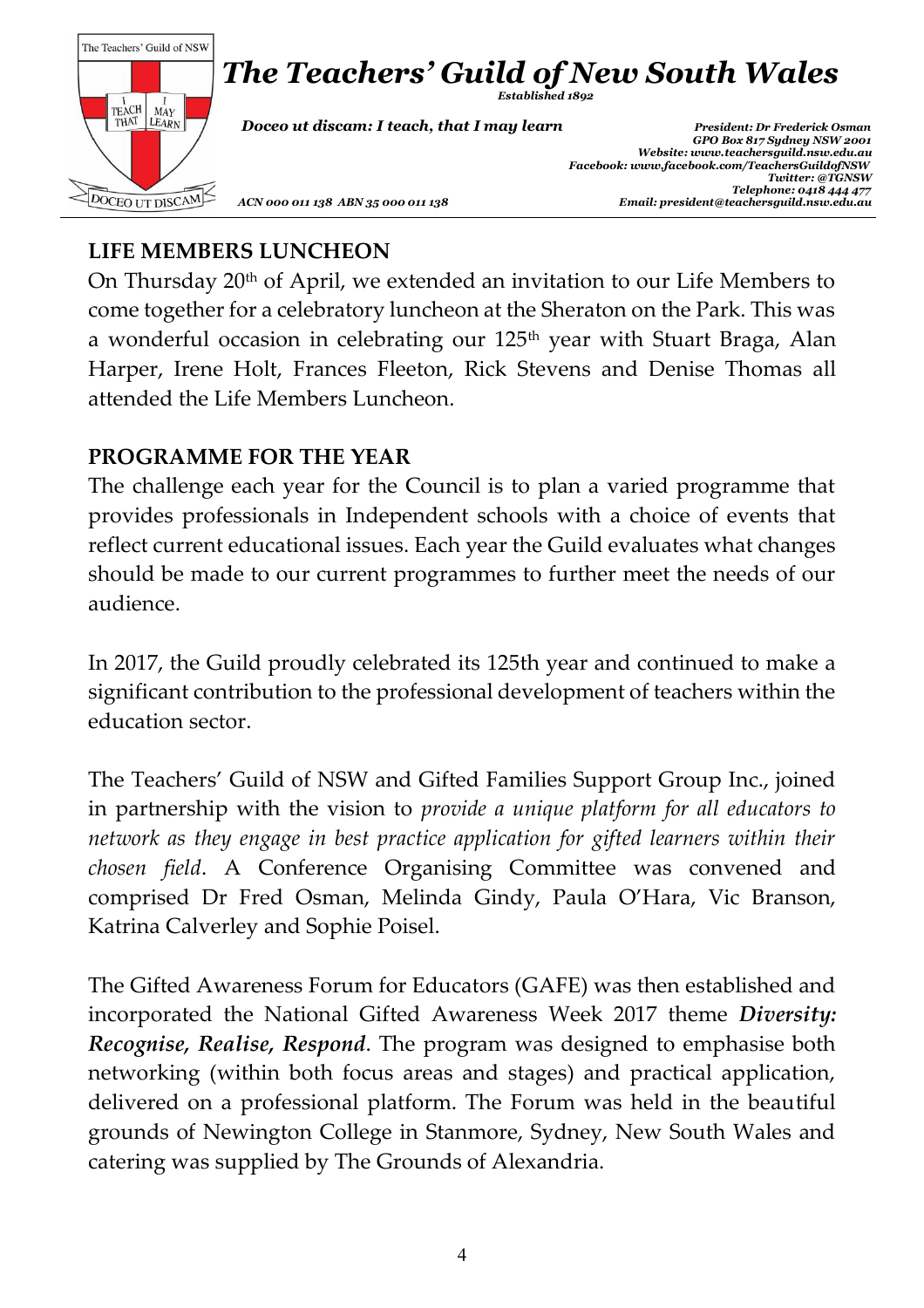

# **LIFE MEMBERS LUNCHEON**

On Thursday 20<sup>th</sup> of April, we extended an invitation to our Life Members to come together for a celebratory luncheon at the Sheraton on the Park. This was a wonderful occasion in celebrating our  $125<sup>th</sup>$  year with Stuart Braga, Alan Harper, Irene Holt, Frances Fleeton, Rick Stevens and Denise Thomas all attended the Life Members Luncheon.

## **PROGRAMME FOR THE YEAR**

The challenge each year for the Council is to plan a varied programme that provides professionals in Independent schools with a choice of events that reflect current educational issues. Each year the Guild evaluates what changes should be made to our current programmes to further meet the needs of our audience.

In 2017, the Guild proudly celebrated its 125th year and continued to make a significant contribution to the professional development of teachers within the education sector.

The Teachers' Guild of NSW and Gifted Families Support Group Inc., joined in partnership with the vision to *provide a unique platform for all educators to network as they engage in best practice application for gifted learners within their chosen field*. A Conference Organising Committee was convened and comprised Dr Fred Osman, Melinda Gindy, Paula O'Hara, Vic Branson, Katrina Calverley and Sophie Poisel.

The Gifted Awareness Forum for Educators (GAFE) was then established and incorporated the National Gifted Awareness Week 2017 theme *Diversity: Recognise, Realise, Respond*. The program was designed to emphasise both networking (within both focus areas and stages) and practical application, delivered on a professional platform. The Forum was held in the beautiful grounds of Newington College in Stanmore, Sydney, New South Wales and catering was supplied by The Grounds of Alexandria.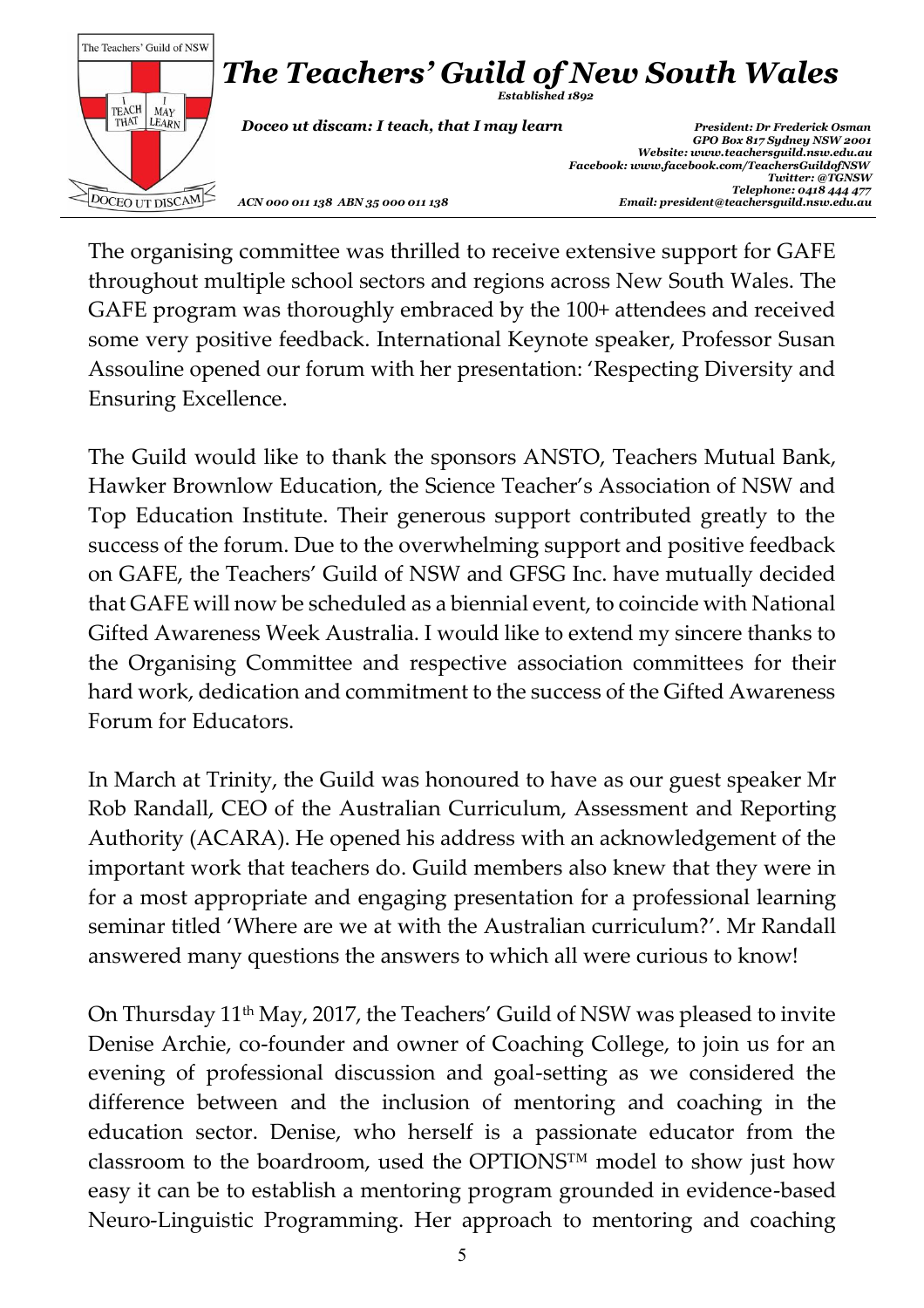

The organising committee was thrilled to receive extensive support for GAFE throughout multiple school sectors and regions across New South Wales. The GAFE program was thoroughly embraced by the 100+ attendees and received some very positive feedback. International Keynote speaker, Professor Susan Assouline opened our forum with her presentation: 'Respecting Diversity and Ensuring Excellence.

The Guild would like to thank the sponsors ANSTO, Teachers Mutual Bank, Hawker Brownlow Education, the Science Teacher's Association of NSW and Top Education Institute. Their generous support contributed greatly to the success of the forum. Due to the overwhelming support and positive feedback on GAFE, the Teachers' Guild of NSW and GFSG Inc. have mutually decided that GAFE will now be scheduled as a biennial event, to coincide with National Gifted Awareness Week Australia. I would like to extend my sincere thanks to the Organising Committee and respective association committees for their hard work, dedication and commitment to the success of the Gifted Awareness Forum for Educators.

In March at Trinity, the Guild was honoured to have as our guest speaker Mr Rob Randall, CEO of the Australian Curriculum, Assessment and Reporting Authority (ACARA). He opened his address with an acknowledgement of the important work that teachers do. Guild members also knew that they were in for a most appropriate and engaging presentation for a professional learning seminar titled 'Where are we at with the Australian curriculum?'. Mr Randall answered many questions the answers to which all were curious to know!

On Thursday 11th May, 2017, the Teachers' Guild of NSW was pleased to invite Denise Archie, co-founder and owner of Coaching College, to join us for an evening of professional discussion and goal-setting as we considered the difference between and the inclusion of mentoring and coaching in the education sector. Denise, who herself is a passionate educator from the classroom to the boardroom, used the OPTIONS™ model to show just how easy it can be to establish a mentoring program grounded in evidence-based Neuro-Linguistic Programming. Her approach to mentoring and coaching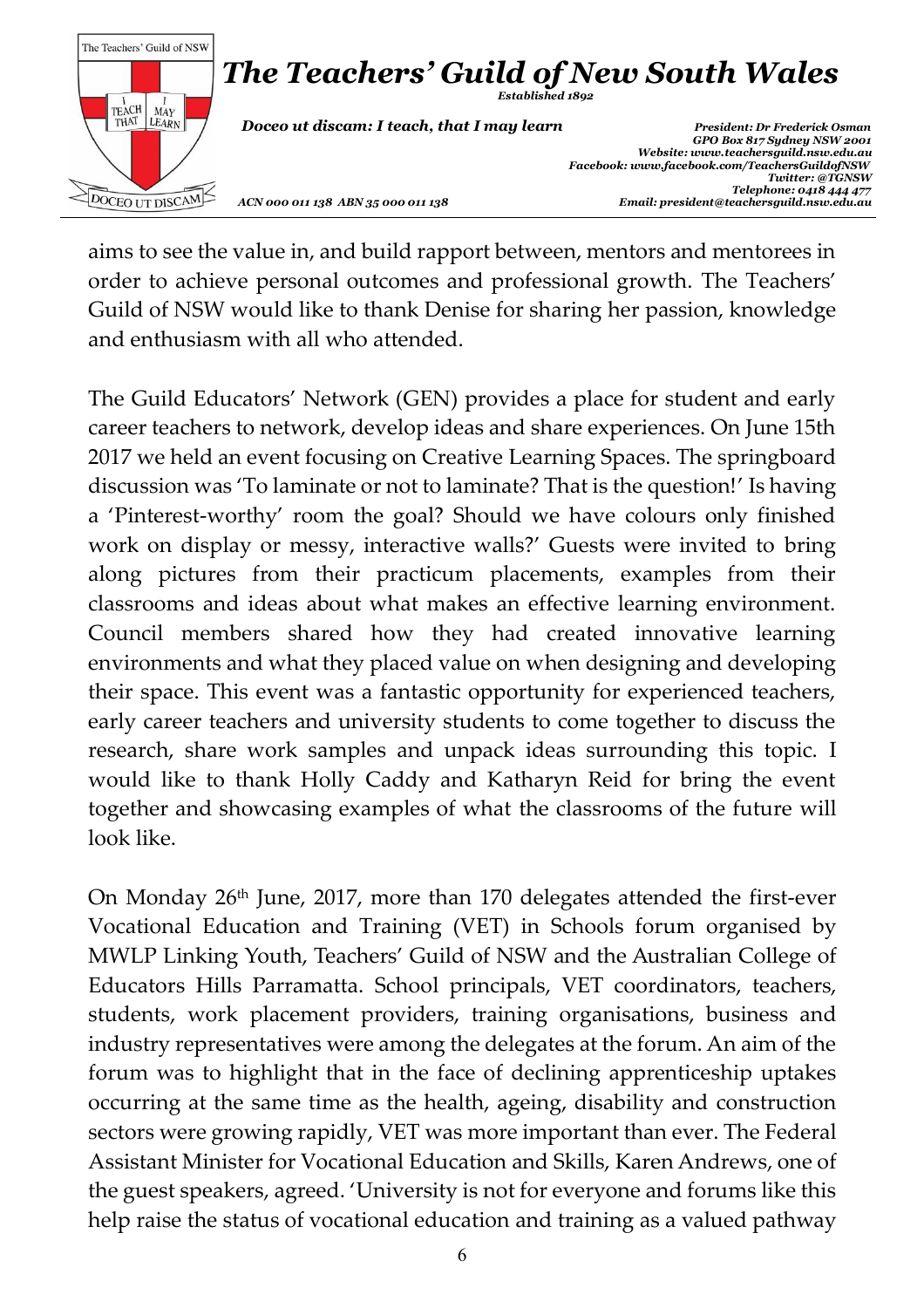

aims to see the value in, and build rapport between, mentors and mentorees in order to achieve personal outcomes and professional growth. The Teachers' Guild of NSW would like to thank Denise for sharing her passion, knowledge and enthusiasm with all who attended.

The Guild Educators' Network (GEN) provides a place for student and early career teachers to network, develop ideas and share experiences. On June 15th 2017 we held an event focusing on Creative Learning Spaces. The springboard discussion was 'To laminate or not to laminate? That is the question!' Is having a 'Pinterest-worthy' room the goal? Should we have colours only finished work on display or messy, interactive walls?' Guests were invited to bring along pictures from their practicum placements, examples from their classrooms and ideas about what makes an effective learning environment. Council members shared how they had created innovative learning environments and what they placed value on when designing and developing their space. This event was a fantastic opportunity for experienced teachers, early career teachers and university students to come together to discuss the research, share work samples and unpack ideas surrounding this topic. I would like to thank Holly Caddy and Katharyn Reid for bring the event together and showcasing examples of what the classrooms of the future will look like.

On Monday 26th June, 2017, more than 170 delegates attended the first-ever Vocational Education and Training (VET) in Schools forum organised by MWLP Linking Youth, Teachers' Guild of NSW and the Australian College of Educators Hills Parramatta. School principals, VET coordinators, teachers, students, work placement providers, training organisations, business and industry representatives were among the delegates at the forum. An aim of the forum was to highlight that in the face of declining apprenticeship uptakes occurring at the same time as the health, ageing, disability and construction sectors were growing rapidly, VET was more important than ever. The Federal Assistant Minister for Vocational Education and Skills, Karen Andrews, one of the guest speakers, agreed. 'University is not for everyone and forums like this help raise the status of vocational education and training as a valued pathway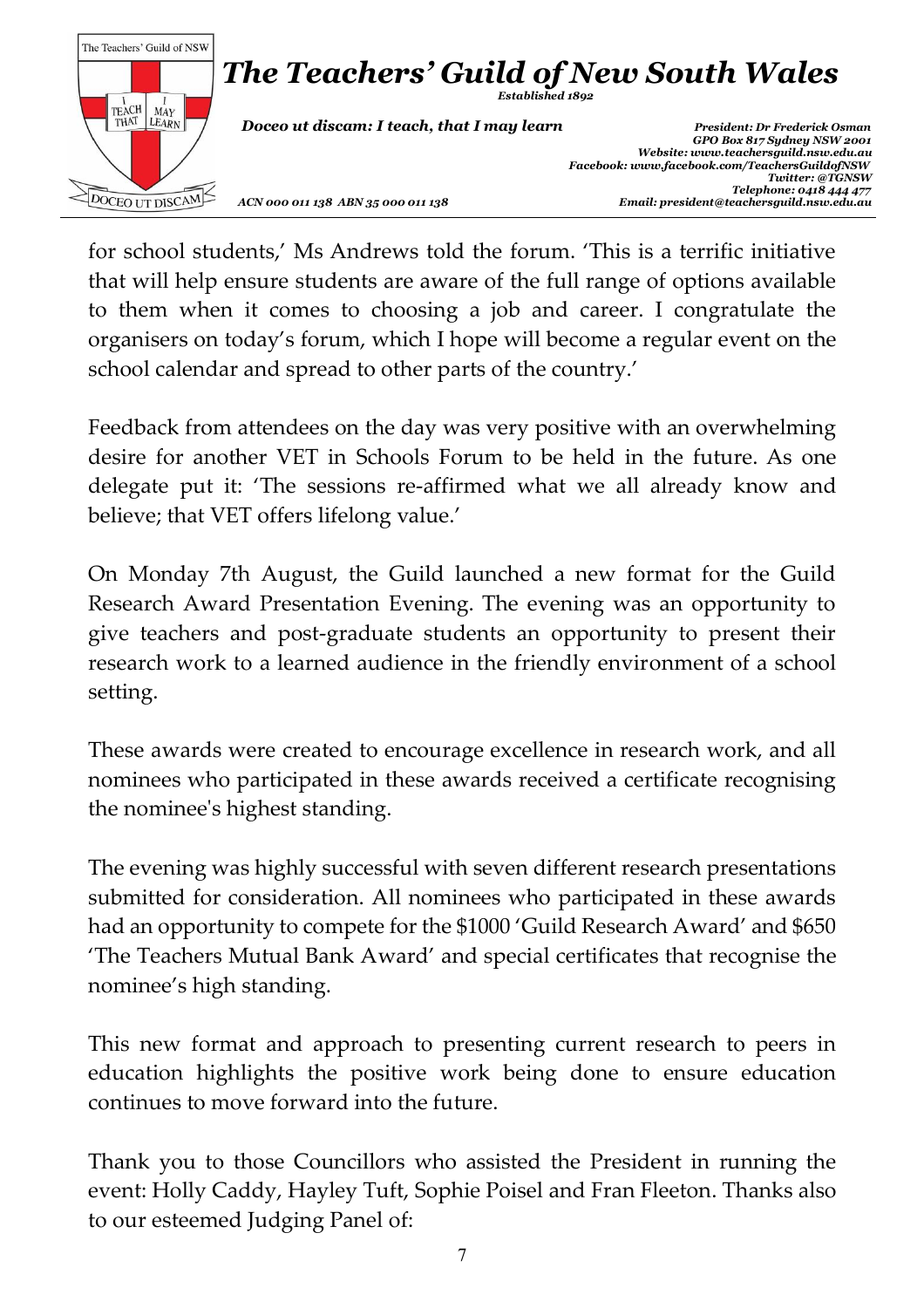

for school students,' Ms Andrews told the forum. 'This is a terrific initiative that will help ensure students are aware of the full range of options available to them when it comes to choosing a job and career. I congratulate the organisers on today's forum, which I hope will become a regular event on the school calendar and spread to other parts of the country.'

Feedback from attendees on the day was very positive with an overwhelming desire for another VET in Schools Forum to be held in the future. As one delegate put it: 'The sessions re-affirmed what we all already know and believe; that VET offers lifelong value.'

On Monday 7th August, the Guild launched a new format for the Guild Research Award Presentation Evening. The evening was an opportunity to give teachers and post-graduate students an opportunity to present their research work to a learned audience in the friendly environment of a school setting.

These awards were created to encourage excellence in research work, and all nominees who participated in these awards received a certificate recognising the nominee's highest standing.

The evening was highly successful with seven different research presentations submitted for consideration. All nominees who participated in these awards had an opportunity to compete for the \$1000 'Guild Research Award' and \$650 'The Teachers Mutual Bank Award' and special certificates that recognise the nominee's high standing.

This new format and approach to presenting current research to peers in education highlights the positive work being done to ensure education continues to move forward into the future.

Thank you to those Councillors who assisted the President in running the event: Holly Caddy, Hayley Tuft, Sophie Poisel and Fran Fleeton. Thanks also to our esteemed Judging Panel of: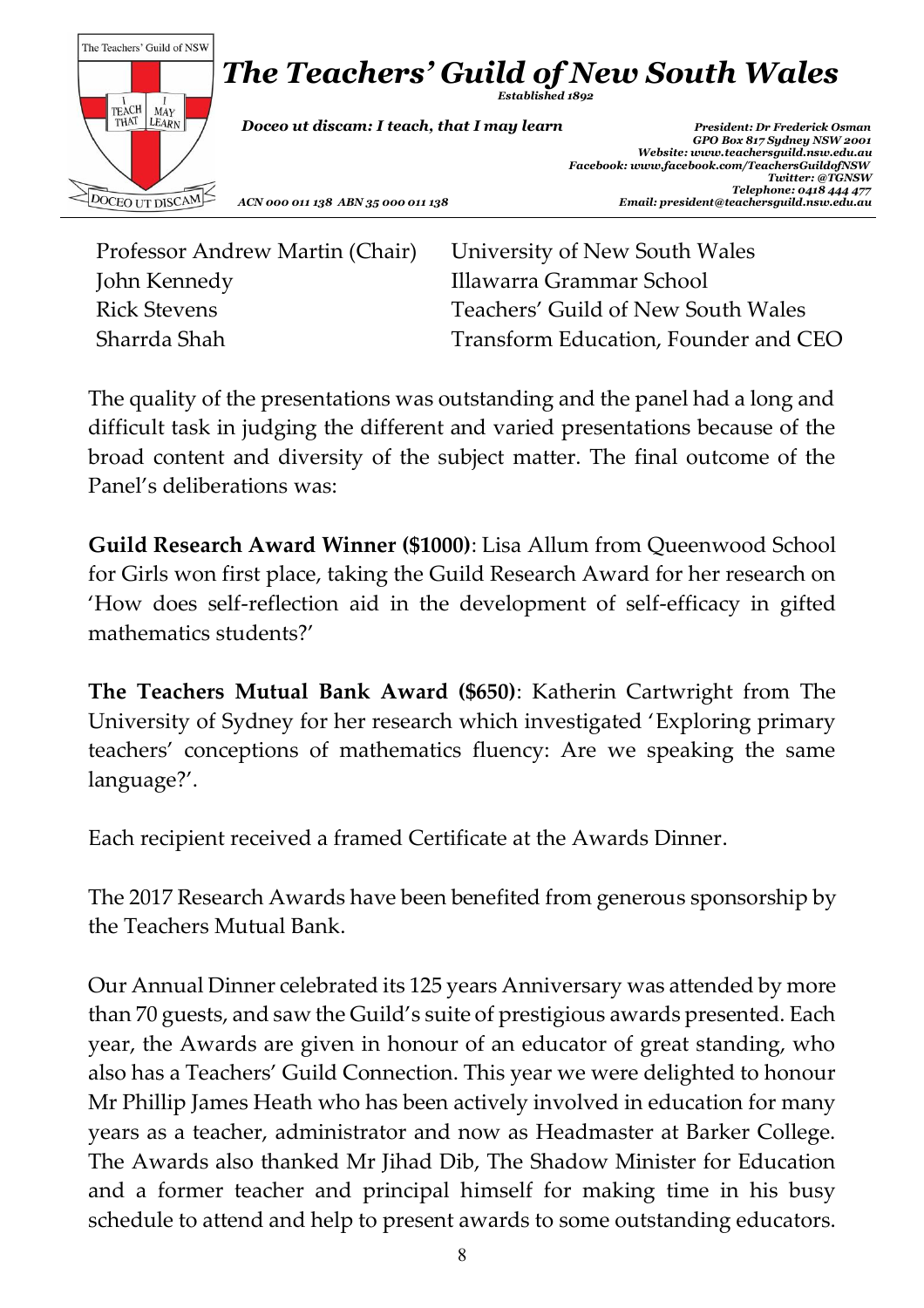

Professor Andrew Martin (Chair) University of New South Wales John Kennedy Illawarra Grammar School

Rick Stevens Teachers' Guild of New South Wales Sharrda Shah Transform Education, Founder and CEO

The quality of the presentations was outstanding and the panel had a long and difficult task in judging the different and varied presentations because of the broad content and diversity of the subject matter. The final outcome of the Panel's deliberations was:

**Guild Research Award Winner (\$1000)**: Lisa Allum from Queenwood School for Girls won first place, taking the Guild Research Award for her research on 'How does self-reflection aid in the development of self-efficacy in gifted mathematics students?'

**The Teachers Mutual Bank Award (\$650)**: Katherin Cartwright from The University of Sydney for her research which investigated 'Exploring primary teachers' conceptions of mathematics fluency: Are we speaking the same language?'.

Each recipient received a framed Certificate at the Awards Dinner.

The 2017 Research Awards have been benefited from generous sponsorship by the Teachers Mutual Bank.

Our Annual Dinner celebrated its 125 years Anniversary was attended by more than 70 guests, and saw the Guild's suite of prestigious awards presented. Each year, the Awards are given in honour of an educator of great standing, who also has a Teachers' Guild Connection. This year we were delighted to honour Mr Phillip James Heath who has been actively involved in education for many years as a teacher, administrator and now as Headmaster at Barker College. The Awards also thanked Mr Jihad Dib, The Shadow Minister for Education and a former teacher and principal himself for making time in his busy schedule to attend and help to present awards to some outstanding educators.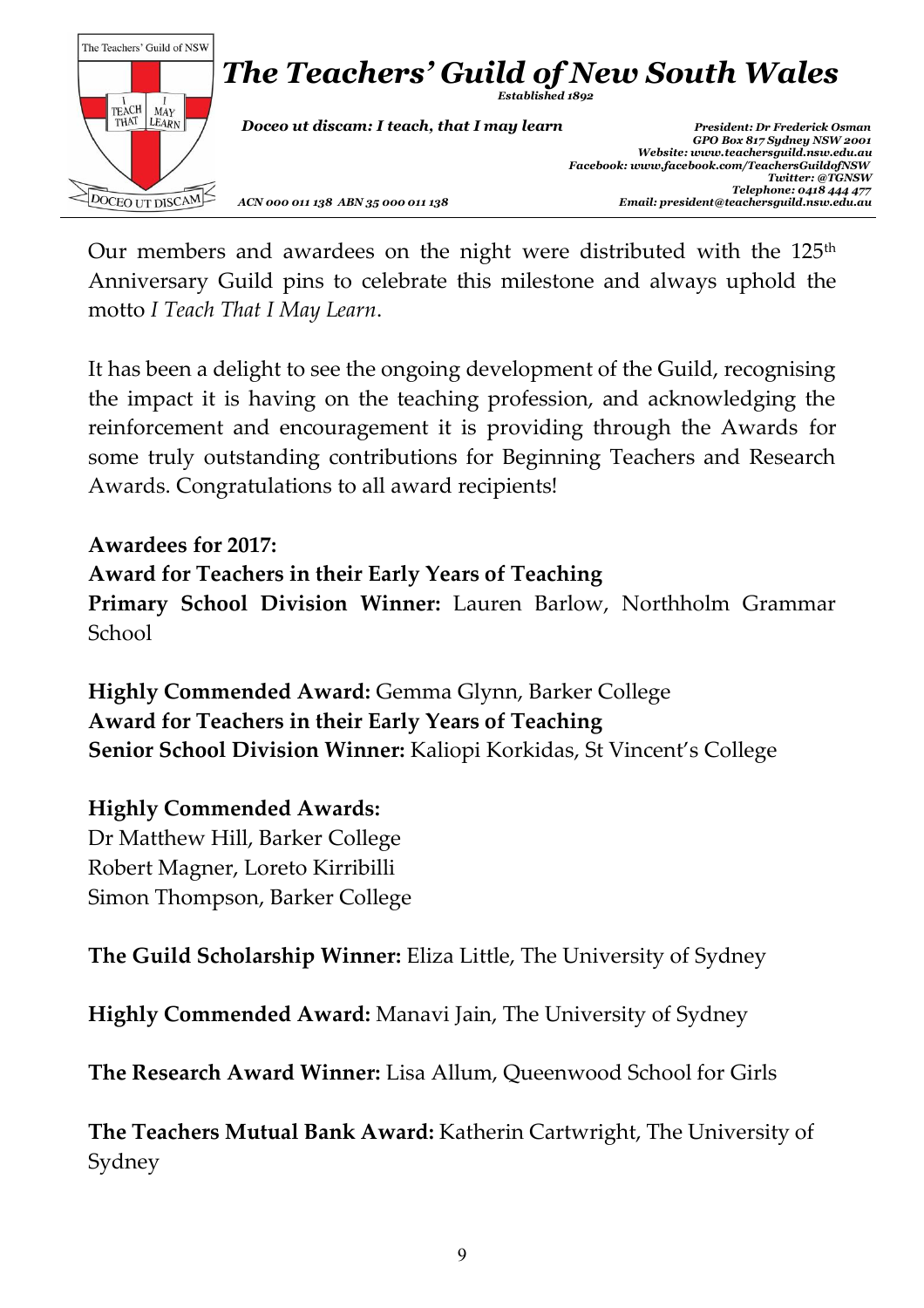

Our members and awardees on the night were distributed with the  $125<sup>th</sup>$ Anniversary Guild pins to celebrate this milestone and always uphold the motto *I Teach That I May Learn*.

It has been a delight to see the ongoing development of the Guild, recognising the impact it is having on the teaching profession, and acknowledging the reinforcement and encouragement it is providing through the Awards for some truly outstanding contributions for Beginning Teachers and Research Awards. Congratulations to all award recipients!

#### **Awardees for 2017:**

**Award for Teachers in their Early Years of Teaching Primary School Division Winner:** Lauren Barlow, Northholm Grammar School

**Highly Commended Award:** Gemma Glynn, Barker College **Award for Teachers in their Early Years of Teaching Senior School Division Winner:** Kaliopi Korkidas, St Vincent's College

### **Highly Commended Awards:**

Dr Matthew Hill, Barker College Robert Magner, Loreto Kirribilli Simon Thompson, Barker College

**The Guild Scholarship Winner:** Eliza Little, The University of Sydney

**Highly Commended Award:** Manavi Jain, The University of Sydney

**The Research Award Winner:** Lisa Allum, Queenwood School for Girls

**The Teachers Mutual Bank Award:** Katherin Cartwright, The University of Sydney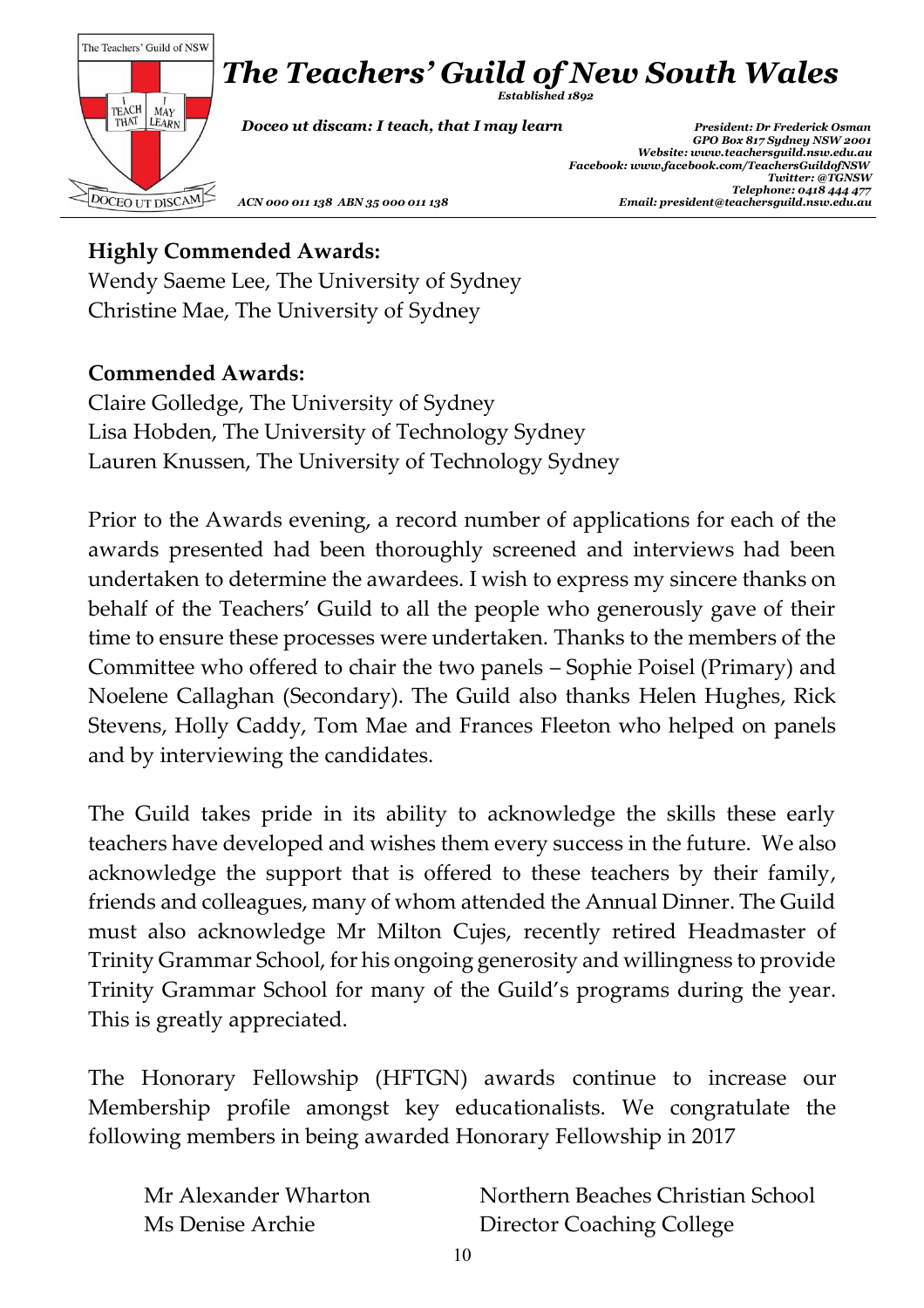

# **Highly Commended Awards:**

Wendy Saeme Lee, The University of Sydney Christine Mae, The University of Sydney

#### **Commended Awards:**

Claire Golledge, The University of Sydney Lisa Hobden, The University of Technology Sydney Lauren Knussen, The University of Technology Sydney

Prior to the Awards evening, a record number of applications for each of the awards presented had been thoroughly screened and interviews had been undertaken to determine the awardees. I wish to express my sincere thanks on behalf of the Teachers' Guild to all the people who generously gave of their time to ensure these processes were undertaken. Thanks to the members of the Committee who offered to chair the two panels – Sophie Poisel (Primary) and Noelene Callaghan (Secondary). The Guild also thanks Helen Hughes, Rick Stevens, Holly Caddy, Tom Mae and Frances Fleeton who helped on panels and by interviewing the candidates.

The Guild takes pride in its ability to acknowledge the skills these early teachers have developed and wishes them every success in the future. We also acknowledge the support that is offered to these teachers by their family, friends and colleagues, many of whom attended the Annual Dinner. The Guild must also acknowledge Mr Milton Cujes, recently retired Headmaster of Trinity Grammar School, for his ongoing generosity and willingness to provide Trinity Grammar School for many of the Guild's programs during the year. This is greatly appreciated.

The Honorary Fellowship (HFTGN) awards continue to increase our Membership profile amongst key educationalists. We congratulate the following members in being awarded Honorary Fellowship in 2017

| Mr Alexander Wharton | Northern Beaches Christian School |
|----------------------|-----------------------------------|
| Ms Denise Archie     | <b>Director Coaching College</b>  |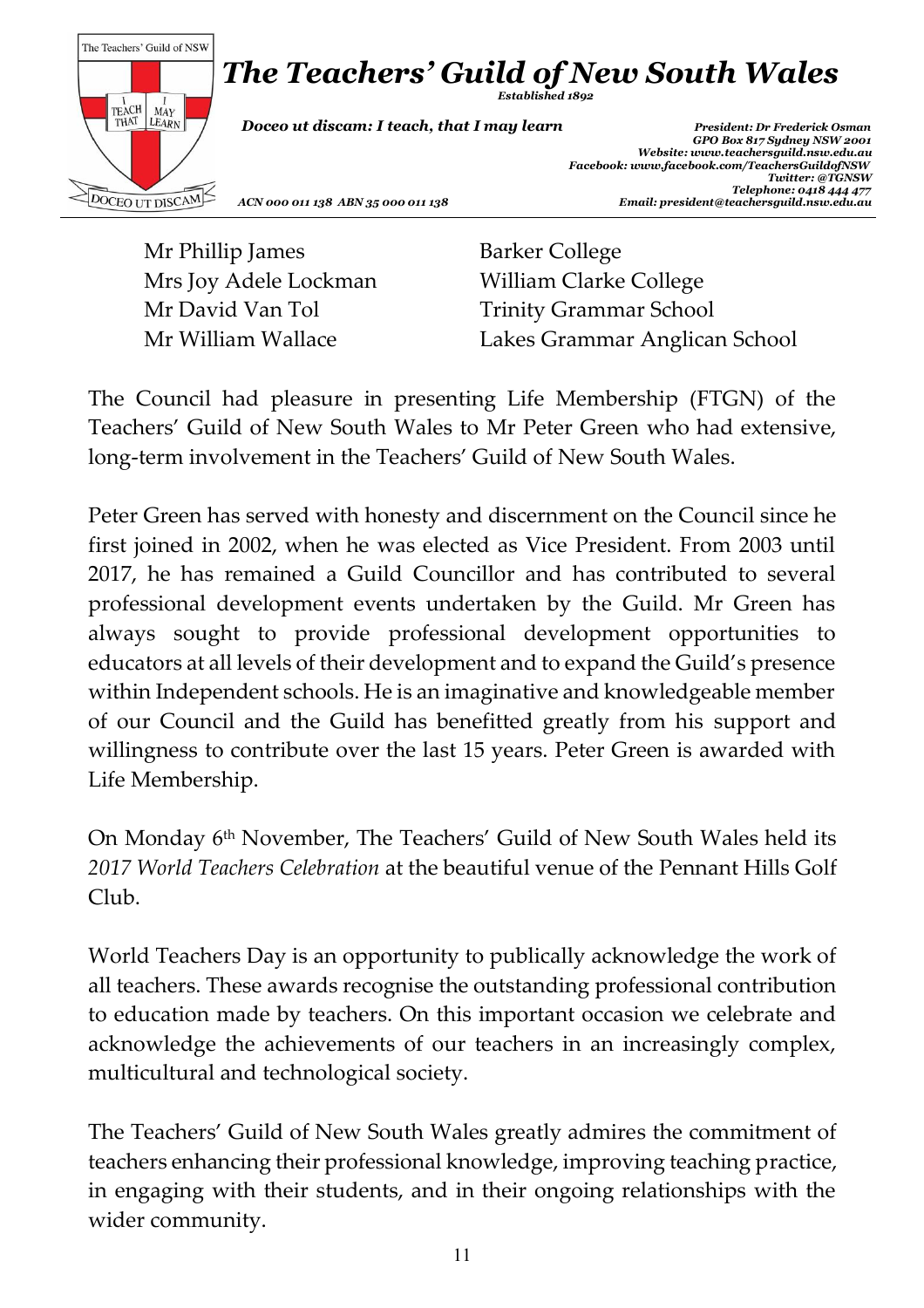

Mr Phillip James Barker College Mrs Joy Adele Lockman William Clarke College

Mr David Van Tol Trinity Grammar School Mr William Wallace Lakes Grammar Anglican School

The Council had pleasure in presenting Life Membership (FTGN) of the Teachers' Guild of New South Wales to Mr Peter Green who had extensive, long-term involvement in the Teachers' Guild of New South Wales.

Peter Green has served with honesty and discernment on the Council since he first joined in 2002, when he was elected as Vice President. From 2003 until 2017, he has remained a Guild Councillor and has contributed to several professional development events undertaken by the Guild. Mr Green has always sought to provide professional development opportunities to educators at all levels of their development and to expand the Guild's presence within Independent schools. He is an imaginative and knowledgeable member of our Council and the Guild has benefitted greatly from his support and willingness to contribute over the last 15 years. Peter Green is awarded with Life Membership.

On Monday 6th November, The Teachers' Guild of New South Wales held its *2017 World Teachers Celebration* at the beautiful venue of the Pennant Hills Golf Club.

World Teachers Day is an opportunity to publically acknowledge the work of all teachers. These awards recognise the outstanding professional contribution to education made by teachers. On this important occasion we celebrate and acknowledge the achievements of our teachers in an increasingly complex, multicultural and technological society.

The Teachers' Guild of New South Wales greatly admires the commitment of teachers enhancing their professional knowledge, improving teaching practice, in engaging with their students, and in their ongoing relationships with the wider community.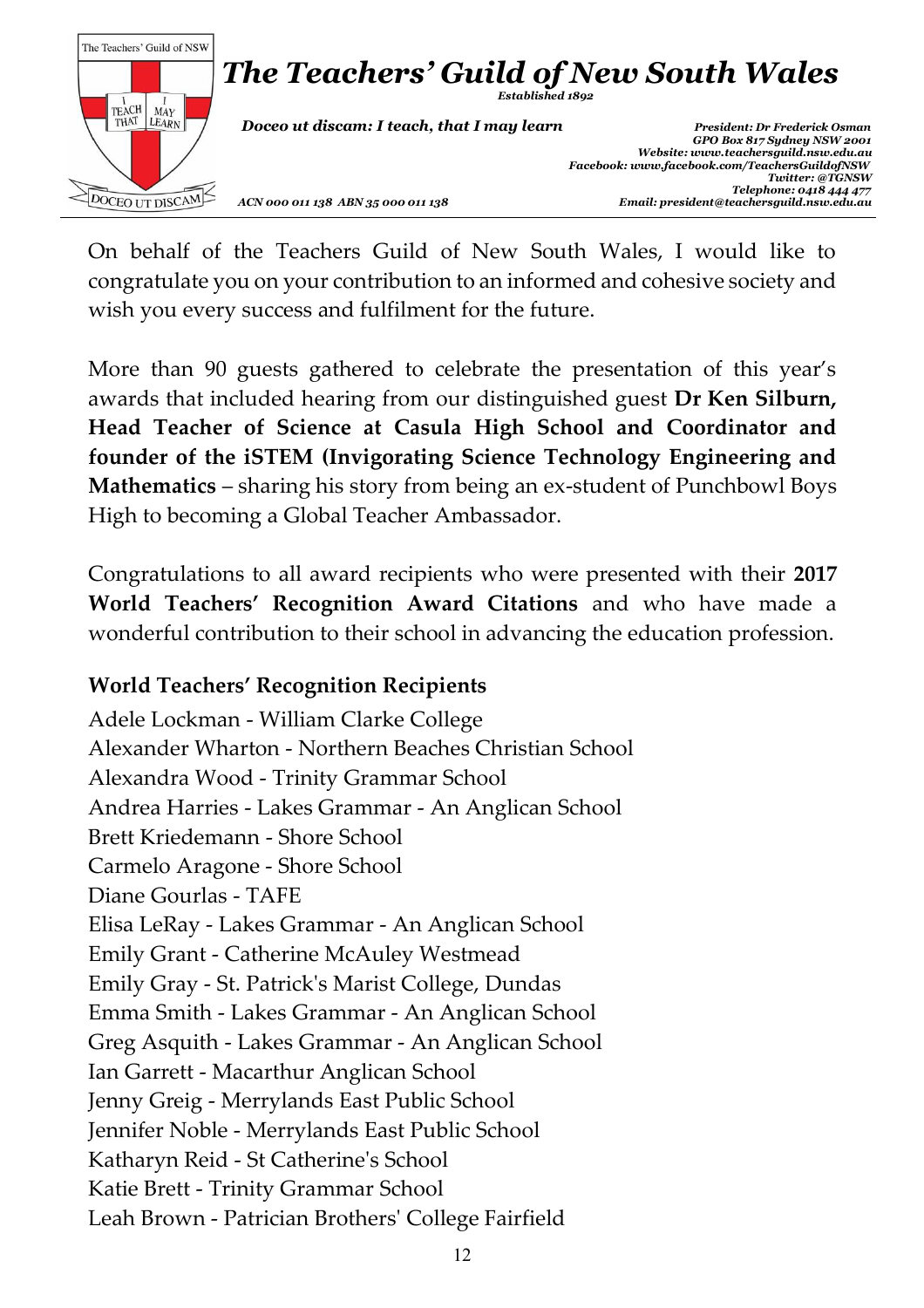

On behalf of the Teachers Guild of New South Wales, I would like to congratulate you on your contribution to an informed and cohesive society and wish you every success and fulfilment for the future.

More than 90 guests gathered to celebrate the presentation of this year's awards that included hearing from our distinguished guest **Dr Ken Silburn, Head Teacher of Science at Casula High School and Coordinator and founder of the iSTEM (Invigorating Science Technology Engineering and Mathematics** – sharing his story from being an ex-student of Punchbowl Boys High to becoming a Global Teacher Ambassador.

Congratulations to all award recipients who were presented with their **2017 World Teachers' Recognition Award Citations** and who have made a wonderful contribution to their school in advancing the education profession.

### **World Teachers' Recognition Recipients**

Adele Lockman - William Clarke College Alexander Wharton - Northern Beaches Christian School Alexandra Wood - Trinity Grammar School Andrea Harries - Lakes Grammar - An Anglican School Brett Kriedemann - Shore School Carmelo Aragone - Shore School Diane Gourlas - TAFE Elisa LeRay - Lakes Grammar - An Anglican School Emily Grant - Catherine McAuley Westmead Emily Gray - St. Patrick's Marist College, Dundas Emma Smith - Lakes Grammar - An Anglican School Greg Asquith - Lakes Grammar - An Anglican School Ian Garrett - Macarthur Anglican School Jenny Greig - Merrylands East Public School Jennifer Noble - Merrylands East Public School Katharyn Reid - St Catherine's School Katie Brett - Trinity Grammar School Leah Brown - Patrician Brothers' College Fairfield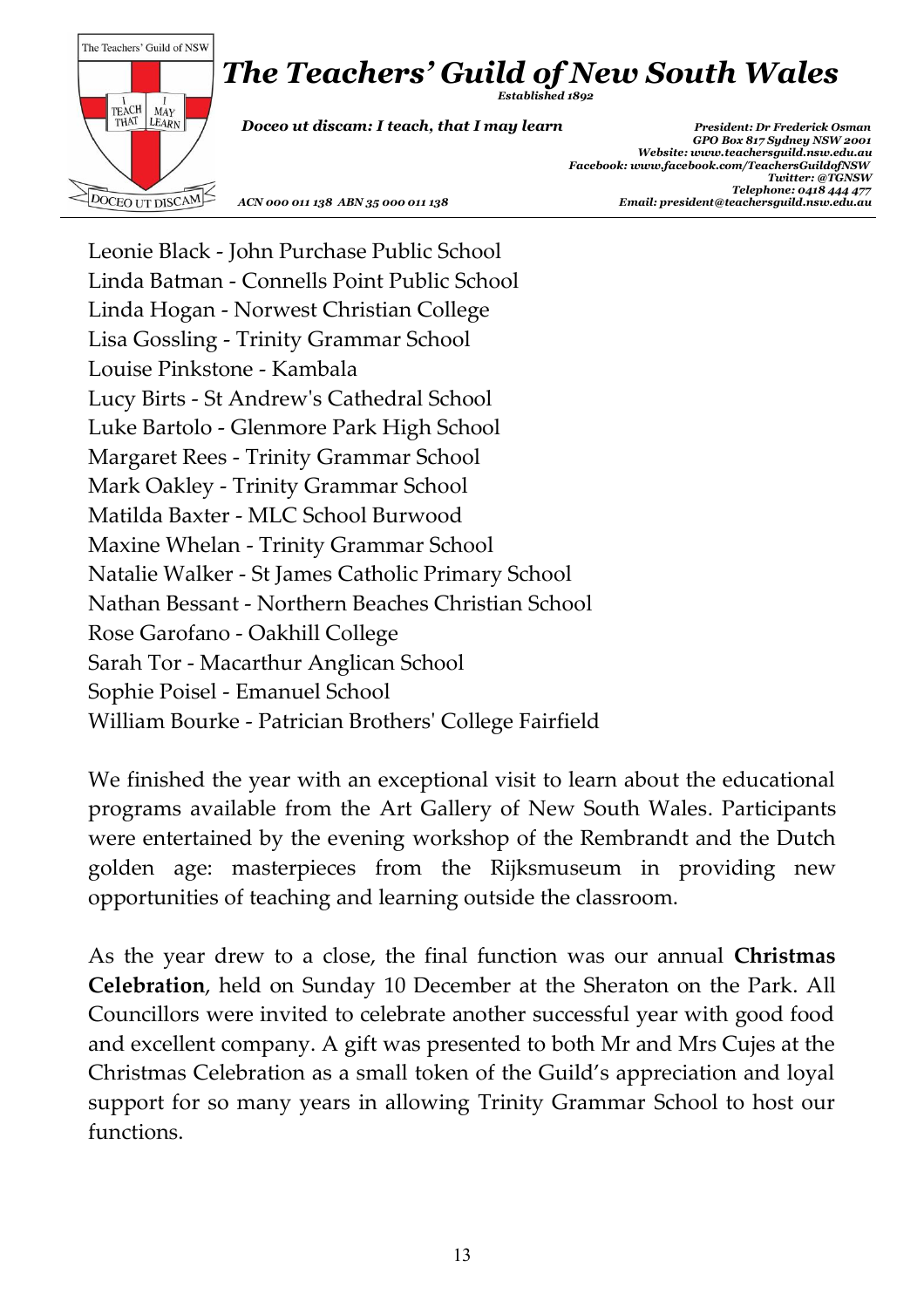

 *Telephone: 0418 444 477 ACN 000 011 138 ABN 35 000 011 138 Email: president@teachersguild.nsw.edu.au*

Leonie Black - John Purchase Public School Linda Batman - Connells Point Public School Linda Hogan - Norwest Christian College Lisa Gossling - Trinity Grammar School Louise Pinkstone - Kambala Lucy Birts - St Andrew's Cathedral School Luke Bartolo - Glenmore Park High School Margaret Rees - Trinity Grammar School Mark Oakley - Trinity Grammar School Matilda Baxter - MLC School Burwood Maxine Whelan - Trinity Grammar School Natalie Walker - St James Catholic Primary School Nathan Bessant - Northern Beaches Christian School Rose Garofano - Oakhill College Sarah Tor - Macarthur Anglican School Sophie Poisel - Emanuel School William Bourke - Patrician Brothers' College Fairfield

DOCEO UT DISCAM

We finished the year with an exceptional visit to learn about the educational programs available from the Art Gallery of New South Wales. Participants were entertained by the evening workshop of the Rembrandt and the Dutch golden age: masterpieces from the Rijksmuseum in providing new opportunities of teaching and learning outside the classroom.

As the year drew to a close, the final function was our annual **Christmas Celebration**, held on Sunday 10 December at the Sheraton on the Park. All Councillors were invited to celebrate another successful year with good food and excellent company. A gift was presented to both Mr and Mrs Cujes at the Christmas Celebration as a small token of the Guild's appreciation and loyal support for so many years in allowing Trinity Grammar School to host our functions.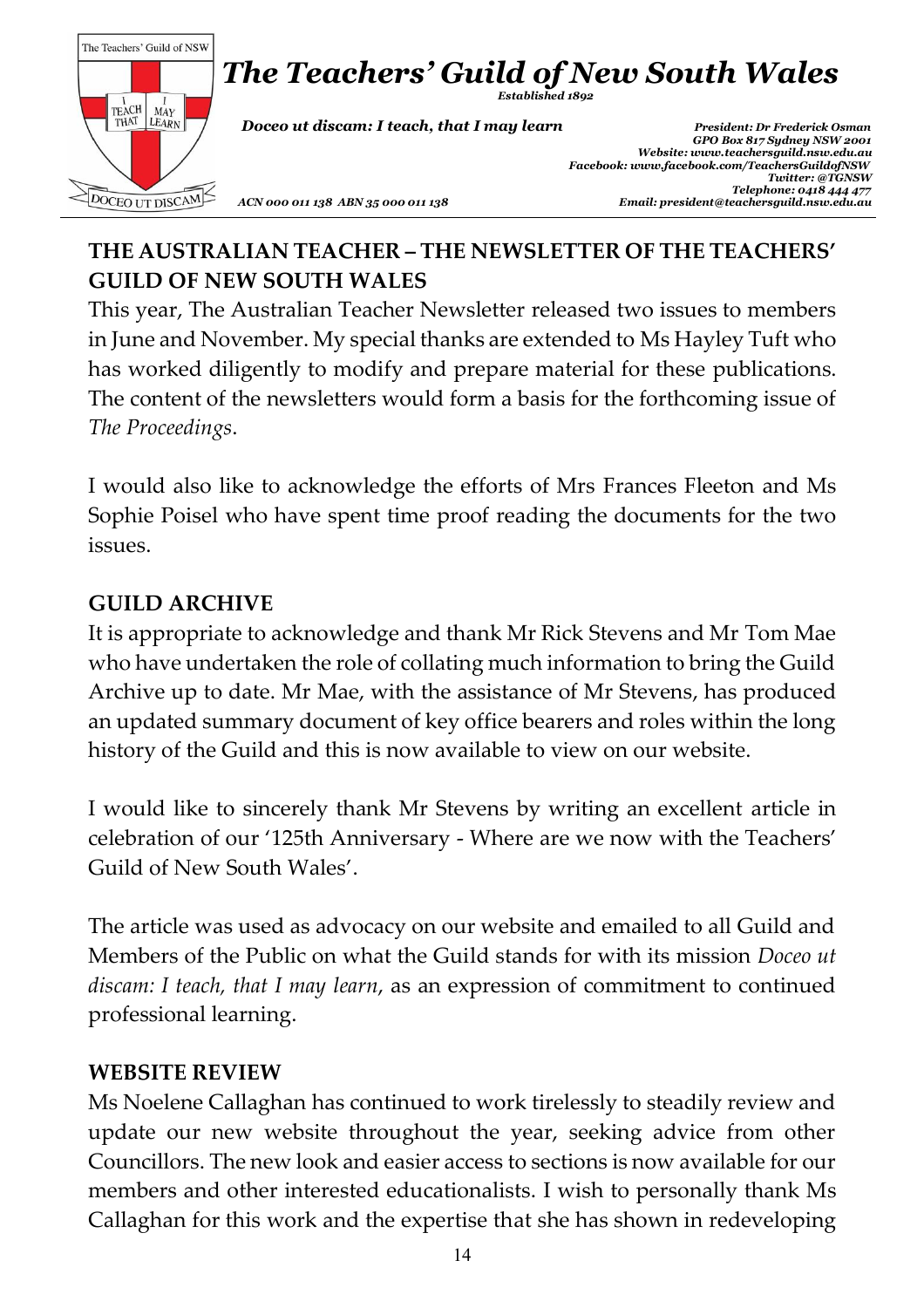

# **THE AUSTRALIAN TEACHER – THE NEWSLETTER OF THE TEACHERS' GUILD OF NEW SOUTH WALES**

This year, The Australian Teacher Newsletter released two issues to members in June and November. My special thanks are extended to Ms Hayley Tuft who has worked diligently to modify and prepare material for these publications. The content of the newsletters would form a basis for the forthcoming issue of *The Proceedings*.

I would also like to acknowledge the efforts of Mrs Frances Fleeton and Ms Sophie Poisel who have spent time proof reading the documents for the two issues.

## **GUILD ARCHIVE**

It is appropriate to acknowledge and thank Mr Rick Stevens and Mr Tom Mae who have undertaken the role of collating much information to bring the Guild Archive up to date. Mr Mae, with the assistance of Mr Stevens, has produced an updated summary document of key office bearers and roles within the long history of the Guild and this is now available to view on our website.

I would like to sincerely thank Mr Stevens by writing an excellent article in celebration of our '125th Anniversary - Where are we now with the Teachers' Guild of New South Wales'.

The article was used as advocacy on our website and emailed to all Guild and Members of the Public on what the Guild stands for with its mission *Doceo ut discam: I teach, that I may learn*, as an expression of commitment to continued professional learning.

#### **WEBSITE REVIEW**

Ms Noelene Callaghan has continued to work tirelessly to steadily review and update our new website throughout the year, seeking advice from other Councillors. The new look and easier access to sections is now available for our members and other interested educationalists. I wish to personally thank Ms Callaghan for this work and the expertise that she has shown in redeveloping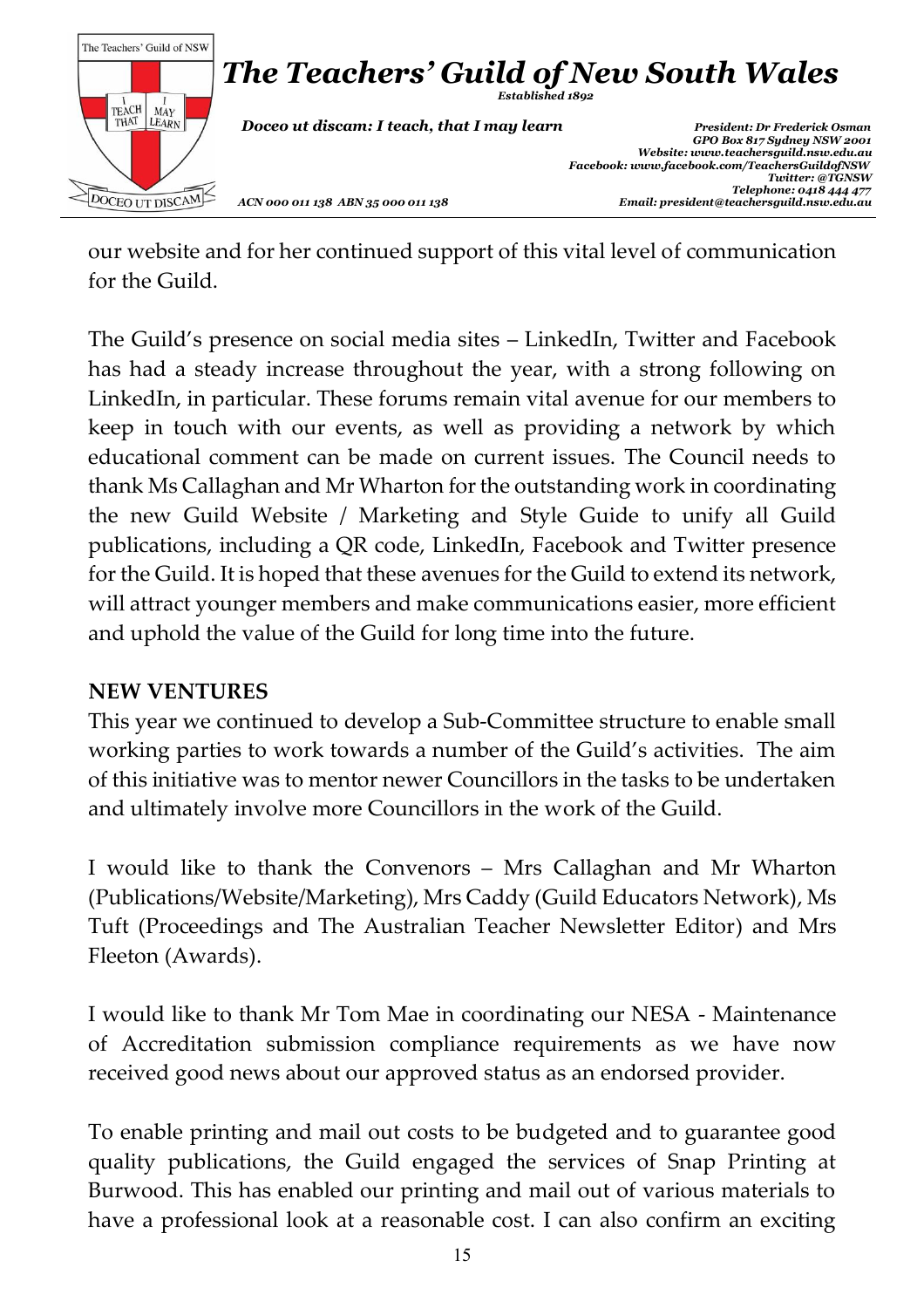

our website and for her continued support of this vital level of communication for the Guild.

The Guild's presence on social media sites – LinkedIn, Twitter and Facebook has had a steady increase throughout the year, with a strong following on LinkedIn, in particular. These forums remain vital avenue for our members to keep in touch with our events, as well as providing a network by which educational comment can be made on current issues. The Council needs to thank Ms Callaghan and Mr Wharton for the outstanding work in coordinating the new Guild Website / Marketing and Style Guide to unify all Guild publications, including a QR code, LinkedIn, Facebook and Twitter presence for the Guild. It is hoped that these avenues for the Guild to extend its network, will attract younger members and make communications easier, more efficient and uphold the value of the Guild for long time into the future.

### **NEW VENTURES**

This year we continued to develop a Sub-Committee structure to enable small working parties to work towards a number of the Guild's activities. The aim of this initiative was to mentor newer Councillors in the tasks to be undertaken and ultimately involve more Councillors in the work of the Guild.

I would like to thank the Convenors – Mrs Callaghan and Mr Wharton (Publications/Website/Marketing), Mrs Caddy (Guild Educators Network), Ms Tuft (Proceedings and The Australian Teacher Newsletter Editor) and Mrs Fleeton (Awards).

I would like to thank Mr Tom Mae in coordinating our NESA - Maintenance of Accreditation submission compliance requirements as we have now received good news about our approved status as an endorsed provider.

To enable printing and mail out costs to be budgeted and to guarantee good quality publications, the Guild engaged the services of Snap Printing at Burwood. This has enabled our printing and mail out of various materials to have a professional look at a reasonable cost. I can also confirm an exciting